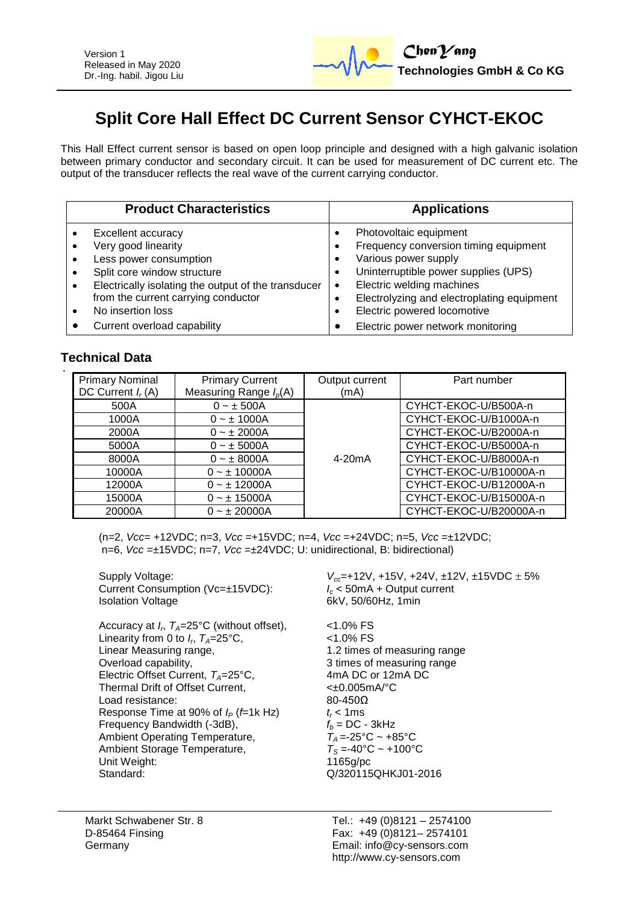

# **Split Core Hall Effect DC Current Sensor CYHCT-EKOC**

This Hall Effect current sensor is based on open loop principle and designed with a high galvanic isolation between primary conductor and secondary circuit. It can be used for measurement of DC current etc. The output of the transducer reflects the real wave of the current carrying conductor.

| <b>Product Characteristics</b>                                                                                                                                                                                        | <b>Applications</b>                                                                                                                                                                                                                                    |
|-----------------------------------------------------------------------------------------------------------------------------------------------------------------------------------------------------------------------|--------------------------------------------------------------------------------------------------------------------------------------------------------------------------------------------------------------------------------------------------------|
| Excellent accuracy<br>Very good linearity<br>Less power consumption<br>Split core window structure<br>Electrically isolating the output of the transducer<br>from the current carrying conductor<br>No insertion loss | Photovoltaic equipment<br>Frequency conversion timing equipment<br>Various power supply<br>Uninterruptible power supplies (UPS)<br>Electric welding machines<br>$\bullet$<br>Electrolyzing and electroplating equipment<br>Electric powered locomotive |
| Current overload capability                                                                                                                                                                                           | Electric power network monitoring                                                                                                                                                                                                                      |

# **Technical Data**

| <b>Primary Nominal</b> | <b>Primary Current</b>   | Output current      | Part number            |
|------------------------|--------------------------|---------------------|------------------------|
| DC Current $I_r(A)$    | Measuring Range $I_p(A)$ | (mA)                |                        |
| 500A                   | $0 - \pm 500A$           |                     | CYHCT-EKOC-U/B500A-n   |
| 1000A                  | $0 - \pm 1000A$          |                     | CYHCT-EKOC-U/B1000A-n  |
| 2000A                  | $0 - \pm 2000A$          |                     | CYHCT-EKOC-U/B2000A-n  |
| 5000A                  | $0 - \pm 5000A$          |                     | CYHCT-EKOC-U/B5000A-n  |
| 8000A                  | $0 - \pm 8000A$          | 4-20 <sub>m</sub> A | CYHCT-EKOC-U/B8000A-n  |
| 10000A                 | $0 - \pm 10000A$         |                     | CYHCT-EKOC-U/B10000A-n |
| 12000A                 | $0 - \pm 12000A$         |                     | CYHCT-EKOC-U/B12000A-n |
| 15000A                 | $0 - 15000A$             |                     | CYHCT-EKOC-U/B15000A-n |
| 20000A                 | $0 - \pm 20000A$         |                     | CYHCT-EKOC-U/B20000A-n |

(n=2, *Vcc*= +12VDC; n=3, *Vcc* =+15VDC; n=4, *Vcc* =+24VDC; n=5, *Vcc* =±12VDC; n=6, *Vcc* =±15VDC; n=7, *Vcc* =±24VDC; U: unidirectional, B: bidirectional)

Current Consumption (Vc=±15VDC): Isolation Voltage 6kV, 50/60Hz, 1min

Accuracy at *I<sup>r</sup>* , *TA*=25°C (without offset), <1.0% FS Linearity from 0 to  $I_r$ ,  $T_A = 25$ °C,  $\hspace{1cm}$  <1.0% FS Linear Measuring range,<br>
Overload capability,<br>
2 times of measuring range<br>
3 times of measuring range Electric Offset Current, *T<sub>A</sub>*=25°C, 4mA DC or 12mA DC or 12mA DC or 12mA DC or 12mA Thermal Drift of Offset Current. Thermal Drift of Offset Current,  $\leftarrow 20.005$ n<br>Load resistance:  $80-450\Omega$ Load resistance: Response Time at 90% of  $I_P$  (*f*=1k Hz)  $t_r < 1$ ms<br>Frequency Bandwidth (-3dB),  $f_b = DC - 3kHz$ Frequency Bandwidth (-3dB),  $f_b = DC - 3kHz$ <br>Ambient Operating Temperature,  $T_A = -25^{\circ}C \sim +85^{\circ}C$ Ambient Operating Temperature,  $T_A = -25^{\circ}\text{C} \sim +85^{\circ}\text{C}$ <br>Ambient Storage Temperature.  $T_S = -40^{\circ}\text{C} \sim +100^{\circ}\text{C}$ Ambient Storage Temperature,  $T_S = -40^{\circ}C$ <br>Unit Weight: 1165g/pc Unit Weight: Standard: Q/320115QHKJ01-2016

Supply Voltage:<br>Current Consumption (Vc=±15VDC):<br> $V_{cc}$ =+12V, +15V, +24V, ±12V, ±15VDC ± 5%<br> $I_c$  < 50mA + Output current

3 times of measuring range<br>4mA DC or 12mA DC